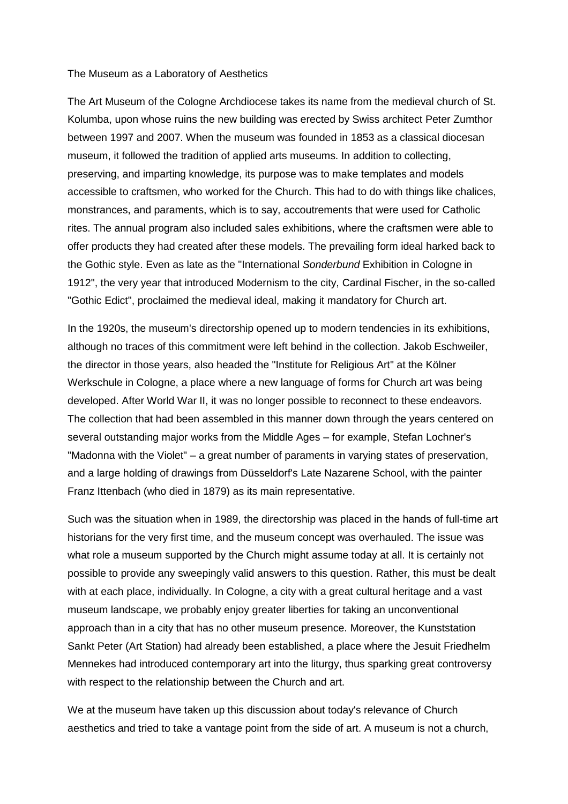## The Museum as a Laboratory of Aesthetics

The Art Museum of the Cologne Archdiocese takes its name from the medieval church of St. Kolumba, upon whose ruins the new building was erected by Swiss architect Peter Zumthor between 1997 and 2007. When the museum was founded in 1853 as a classical diocesan museum, it followed the tradition of applied arts museums. In addition to collecting, preserving, and imparting knowledge, its purpose was to make templates and models accessible to craftsmen, who worked for the Church. This had to do with things like chalices, monstrances, and paraments, which is to say, accoutrements that were used for Catholic rites. The annual program also included sales exhibitions, where the craftsmen were able to offer products they had created after these models. The prevailing form ideal harked back to the Gothic style. Even as late as the "International *Sonderbund* Exhibition in Cologne in 1912", the very year that introduced Modernism to the city, Cardinal Fischer, in the so-called "Gothic Edict", proclaimed the medieval ideal, making it mandatory for Church art.

In the 1920s, the museum's directorship opened up to modern tendencies in its exhibitions, although no traces of this commitment were left behind in the collection. Jakob Eschweiler, the director in those years, also headed the "Institute for Religious Art" at the Kölner Werkschule in Cologne, a place where a new language of forms for Church art was being developed. After World War II, it was no longer possible to reconnect to these endeavors. The collection that had been assembled in this manner down through the years centered on several outstanding major works from the Middle Ages – for example, Stefan Lochner's "Madonna with the Violet" – a great number of paraments in varying states of preservation, and a large holding of drawings from Düsseldorf's Late Nazarene School, with the painter Franz Ittenbach (who died in 1879) as its main representative.

Such was the situation when in 1989, the directorship was placed in the hands of full-time art historians for the very first time, and the museum concept was overhauled. The issue was what role a museum supported by the Church might assume today at all. It is certainly not possible to provide any sweepingly valid answers to this question. Rather, this must be dealt with at each place, individually. In Cologne, a city with a great cultural heritage and a vast museum landscape, we probably enjoy greater liberties for taking an unconventional approach than in a city that has no other museum presence. Moreover, the Kunststation Sankt Peter (Art Station) had already been established, a place where the Jesuit Friedhelm Mennekes had introduced contemporary art into the liturgy, thus sparking great controversy with respect to the relationship between the Church and art.

We at the museum have taken up this discussion about today's relevance of Church aesthetics and tried to take a vantage point from the side of art. A museum is not a church,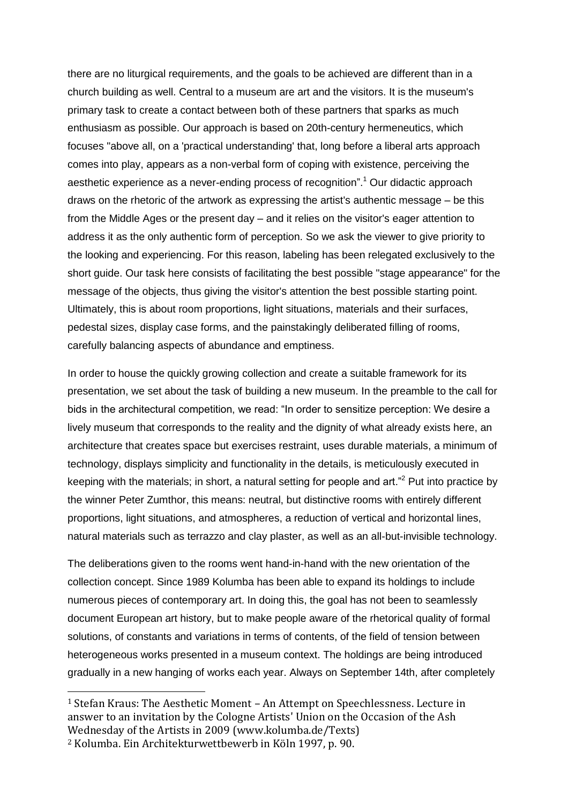there are no liturgical requirements, and the goals to be achieved are different than in a church building as well. Central to a museum are art and the visitors. It is the museum's primary task to create a contact between both of these partners that sparks as much enthusiasm as possible. Our approach is based on 20th-century hermeneutics, which focuses "above all, on a 'practical understanding' that, long before a liberal arts approach comes into play, appears as a non-verbal form of coping with existence, perceiving the aesthetic experience as a never-ending process of recognition". <sup>1</sup> Our didactic approach draws on the rhetoric of the artwork as expressing the artist's authentic message – be this from the Middle Ages or the present day – and it relies on the visitor's eager attention to address it as the only authentic form of perception. So we ask the viewer to give priority to the looking and experiencing. For this reason, labeling has been relegated exclusively to the short guide. Our task here consists of facilitating the best possible "stage appearance" for the message of the objects, thus giving the visitor's attention the best possible starting point. Ultimately, this is about room proportions, light situations, materials and their surfaces, pedestal sizes, display case forms, and the painstakingly deliberated filling of rooms, carefully balancing aspects of abundance and emptiness.

In order to house the quickly growing collection and create a suitable framework for its presentation, we set about the task of building a new museum. In the preamble to the call for bids in the architectural competition, we read: "In order to sensitize perception: We desire a lively museum that corresponds to the reality and the dignity of what already exists here, an architecture that creates space but exercises restraint, uses durable materials, a minimum of technology, displays simplicity and functionality in the details, is meticulously executed in keeping with the materials; in short, a natural setting for people and art."<sup>2</sup> Put into practice by the winner Peter Zumthor, this means: neutral, but distinctive rooms with entirely different proportions, light situations, and atmospheres, a reduction of vertical and horizontal lines, natural materials such as terrazzo and clay plaster, as well as an all-but-invisible technology.

The deliberations given to the rooms went hand-in-hand with the new orientation of the collection concept. Since 1989 Kolumba has been able to expand its holdings to include numerous pieces of contemporary art. In doing this, the goal has not been to seamlessly document European art history, but to make people aware of the rhetorical quality of formal solutions, of constants and variations in terms of contents, of the field of tension between heterogeneous works presented in a museum context. The holdings are being introduced gradually in a new hanging of works each year. Always on September 14th, after completely

 $\overline{\phantom{a}}$ 

<sup>1</sup> Stefan Kraus: The Aesthetic Moment – An Attempt on Speechlessness. Lecture in answer to an invitation by the Cologne Artists' Union on the Occasion of the Ash Wednesday of the Artists in 2009 (www.kolumba.de/Texts)

<sup>2</sup> Kolumba. Ein Architekturwettbewerb in Köln 1997, p. 90.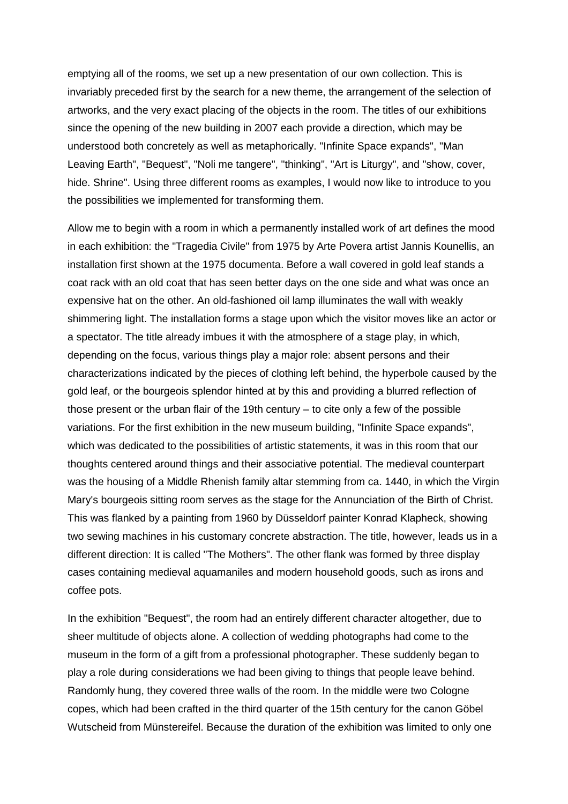emptying all of the rooms, we set up a new presentation of our own collection. This is invariably preceded first by the search for a new theme, the arrangement of the selection of artworks, and the very exact placing of the objects in the room. The titles of our exhibitions since the opening of the new building in 2007 each provide a direction, which may be understood both concretely as well as metaphorically. "Infinite Space expands", "Man Leaving Earth", "Bequest", "Noli me tangere", "thinking", "Art is Liturgy", and "show, cover, hide. Shrine". Using three different rooms as examples, I would now like to introduce to you the possibilities we implemented for transforming them.

Allow me to begin with a room in which a permanently installed work of art defines the mood in each exhibition: the "Tragedia Civile" from 1975 by Arte Povera artist Jannis Kounellis, an installation first shown at the 1975 documenta. Before a wall covered in gold leaf stands a coat rack with an old coat that has seen better days on the one side and what was once an expensive hat on the other. An old-fashioned oil lamp illuminates the wall with weakly shimmering light. The installation forms a stage upon which the visitor moves like an actor or a spectator. The title already imbues it with the atmosphere of a stage play, in which, depending on the focus, various things play a major role: absent persons and their characterizations indicated by the pieces of clothing left behind, the hyperbole caused by the gold leaf, or the bourgeois splendor hinted at by this and providing a blurred reflection of those present or the urban flair of the 19th century – to cite only a few of the possible variations. For the first exhibition in the new museum building, "Infinite Space expands", which was dedicated to the possibilities of artistic statements, it was in this room that our thoughts centered around things and their associative potential. The medieval counterpart was the housing of a Middle Rhenish family altar stemming from ca. 1440, in which the Virgin Mary's bourgeois sitting room serves as the stage for the Annunciation of the Birth of Christ. This was flanked by a painting from 1960 by Düsseldorf painter Konrad Klapheck, showing two sewing machines in his customary concrete abstraction. The title, however, leads us in a different direction: It is called "The Mothers". The other flank was formed by three display cases containing medieval aquamaniles and modern household goods, such as irons and coffee pots.

In the exhibition "Bequest", the room had an entirely different character altogether, due to sheer multitude of objects alone. A collection of wedding photographs had come to the museum in the form of a gift from a professional photographer. These suddenly began to play a role during considerations we had been giving to things that people leave behind. Randomly hung, they covered three walls of the room. In the middle were two Cologne copes, which had been crafted in the third quarter of the 15th century for the canon Göbel Wutscheid from Münstereifel. Because the duration of the exhibition was limited to only one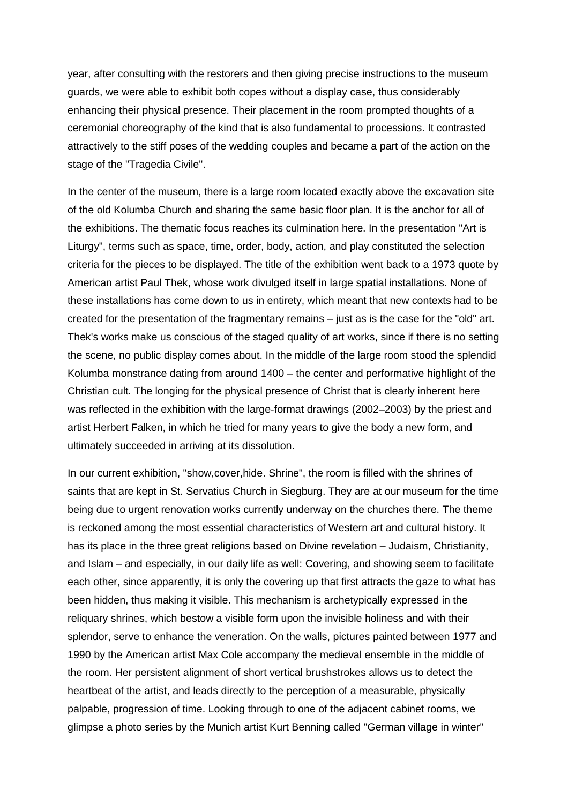year, after consulting with the restorers and then giving precise instructions to the museum guards, we were able to exhibit both copes without a display case, thus considerably enhancing their physical presence. Their placement in the room prompted thoughts of a ceremonial choreography of the kind that is also fundamental to processions. It contrasted attractively to the stiff poses of the wedding couples and became a part of the action on the stage of the "Tragedia Civile".

In the center of the museum, there is a large room located exactly above the excavation site of the old Kolumba Church and sharing the same basic floor plan. It is the anchor for all of the exhibitions. The thematic focus reaches its culmination here. In the presentation "Art is Liturgy", terms such as space, time, order, body, action, and play constituted the selection criteria for the pieces to be displayed. The title of the exhibition went back to a 1973 quote by American artist Paul Thek, whose work divulged itself in large spatial installations. None of these installations has come down to us in entirety, which meant that new contexts had to be created for the presentation of the fragmentary remains – just as is the case for the "old" art. Thek's works make us conscious of the staged quality of art works, since if there is no setting the scene, no public display comes about. In the middle of the large room stood the splendid Kolumba monstrance dating from around 1400 – the center and performative highlight of the Christian cult. The longing for the physical presence of Christ that is clearly inherent here was reflected in the exhibition with the large-format drawings (2002–2003) by the priest and artist Herbert Falken, in which he tried for many years to give the body a new form, and ultimately succeeded in arriving at its dissolution.

In our current exhibition, "show,cover,hide. Shrine", the room is filled with the shrines of saints that are kept in St. Servatius Church in Siegburg. They are at our museum for the time being due to urgent renovation works currently underway on the churches there. The theme is reckoned among the most essential characteristics of Western art and cultural history. It has its place in the three great religions based on Divine revelation – Judaism, Christianity, and Islam – and especially, in our daily life as well: Covering, and showing seem to facilitate each other, since apparently, it is only the covering up that first attracts the gaze to what has been hidden, thus making it visible. This mechanism is archetypically expressed in the reliquary shrines, which bestow a visible form upon the invisible holiness and with their splendor, serve to enhance the veneration. On the walls, pictures painted between 1977 and 1990 by the American artist Max Cole accompany the medieval ensemble in the middle of the room. Her persistent alignment of short vertical brushstrokes allows us to detect the heartbeat of the artist, and leads directly to the perception of a measurable, physically palpable, progression of time. Looking through to one of the adjacent cabinet rooms, we glimpse a photo series by the Munich artist Kurt Benning called "German village in winter"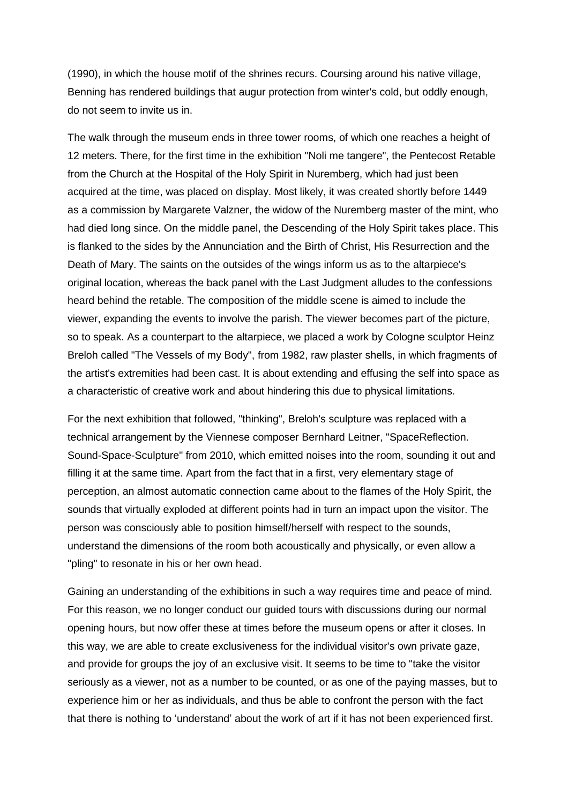(1990), in which the house motif of the shrines recurs. Coursing around his native village, Benning has rendered buildings that augur protection from winter's cold, but oddly enough, do not seem to invite us in.

The walk through the museum ends in three tower rooms, of which one reaches a height of 12 meters. There, for the first time in the exhibition "Noli me tangere", the Pentecost Retable from the Church at the Hospital of the Holy Spirit in Nuremberg, which had just been acquired at the time, was placed on display. Most likely, it was created shortly before 1449 as a commission by Margarete Valzner, the widow of the Nuremberg master of the mint, who had died long since. On the middle panel, the Descending of the Holy Spirit takes place. This is flanked to the sides by the Annunciation and the Birth of Christ, His Resurrection and the Death of Mary. The saints on the outsides of the wings inform us as to the altarpiece's original location, whereas the back panel with the Last Judgment alludes to the confessions heard behind the retable. The composition of the middle scene is aimed to include the viewer, expanding the events to involve the parish. The viewer becomes part of the picture, so to speak. As a counterpart to the altarpiece, we placed a work by Cologne sculptor Heinz Breloh called "The Vessels of my Body", from 1982, raw plaster shells, in which fragments of the artist's extremities had been cast. It is about extending and effusing the self into space as a characteristic of creative work and about hindering this due to physical limitations.

For the next exhibition that followed, "thinking", Breloh's sculpture was replaced with a technical arrangement by the Viennese composer Bernhard Leitner, "SpaceReflection. Sound-Space-Sculpture" from 2010, which emitted noises into the room, sounding it out and filling it at the same time. Apart from the fact that in a first, very elementary stage of perception, an almost automatic connection came about to the flames of the Holy Spirit, the sounds that virtually exploded at different points had in turn an impact upon the visitor. The person was consciously able to position himself/herself with respect to the sounds, understand the dimensions of the room both acoustically and physically, or even allow a "pling" to resonate in his or her own head.

Gaining an understanding of the exhibitions in such a way requires time and peace of mind. For this reason, we no longer conduct our guided tours with discussions during our normal opening hours, but now offer these at times before the museum opens or after it closes. In this way, we are able to create exclusiveness for the individual visitor's own private gaze, and provide for groups the joy of an exclusive visit. It seems to be time to "take the visitor seriously as a viewer, not as a number to be counted, or as one of the paying masses, but to experience him or her as individuals, and thus be able to confront the person with the fact that there is nothing to 'understand' about the work of art if it has not been experienced first.